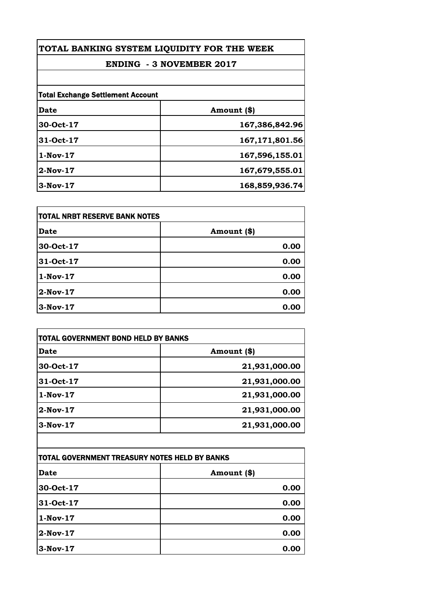| TOTAL BANKING SYSTEM LIQUIDITY FOR THE WEEK<br><b>ENDING - 3 NOVEMBER 2017</b> |                |
|--------------------------------------------------------------------------------|----------------|
|                                                                                |                |
| <b>Total Exchange Settlement Account</b>                                       |                |
| Date                                                                           | Amount (\$)    |
| 30-Oct-17                                                                      | 167,386,842.96 |
| 31-Oct-17                                                                      | 167,171,801.56 |
| $1-Nov-17$                                                                     | 167,596,155.01 |
| $2-Nov-17$                                                                     | 167,679,555.01 |
| 3-Nov-17                                                                       | 168,859,936.74 |

| TOTAL NRBT RESERVE BANK NOTES |             |
|-------------------------------|-------------|
| <b>Date</b>                   | Amount (\$) |
| 30-Oct-17                     | 0.00        |
| 31-Oct-17                     | 0.00        |
| $1-Nov-17$                    | 0.00        |
| $2-Nov-17$                    | 0.00        |
| 3-Nov-17                      | 0.00        |

| <b>TOTAL GOVERNMENT BOND HELD BY BANKS</b> |  |
|--------------------------------------------|--|
| Amount (\$)                                |  |
| 21,931,000.00                              |  |
| 21,931,000.00                              |  |
| 21,931,000.00                              |  |
| 21,931,000.00                              |  |
| 21,931,000.00                              |  |
|                                            |  |

| TOTAL GOVERNMENT TREASURY NOTES HELD BY BANKS |             |
|-----------------------------------------------|-------------|
| Date                                          | Amount (\$) |
| 30-Oct-17                                     | 0.00        |
| 31-Oct-17                                     | 0.00        |
| $1-Nov-17$                                    | 0.00        |
| 2-Nov-17                                      | 0.00        |
| $3-Nov-17$                                    | 0.00        |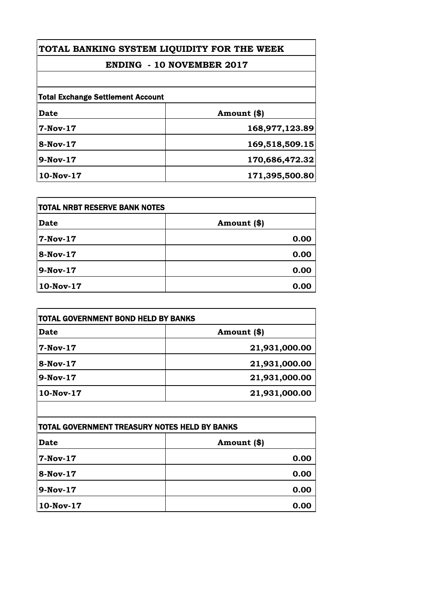## **TOTAL BANKING SYSTEM LIQUIDITY FOR THE WEEK**

## **ENDING - 10 NOVEMBER 2017**

| <b>Total Exchange Settlement Account</b> |                |
|------------------------------------------|----------------|
| Date                                     | Amount (\$)    |
| <b>7-Nov-17</b>                          | 168,977,123.89 |
| 8-Nov-17                                 | 169,518,509.15 |
| $9-Nov-17$                               | 170,686,472.32 |
| 10-Nov-17                                | 171,395,500.80 |

| <b>TOTAL NRBT RESERVE BANK NOTES</b> |             |
|--------------------------------------|-------------|
| Date                                 | Amount (\$) |
| 7-Nov-17                             | 0.00        |
| <b>8-Nov-17</b>                      | 0.00        |
| 9-Nov-17                             | 0.00        |
| 10-Nov-17                            | 0.00        |

| TOTAL GOVERNMENT BOND HELD BY BANKS |               |
|-------------------------------------|---------------|
| <b>Date</b>                         | Amount (\$)   |
| 7-Nov-17                            | 21,931,000.00 |
| 8-Nov-17                            | 21,931,000.00 |
| $9-Nov-17$                          | 21,931,000.00 |
| $10$ -Nov- $17$                     | 21,931,000.00 |

| <b>TOTAL GOVERNMENT TREASURY NOTES HELD BY BANKS</b> |             |
|------------------------------------------------------|-------------|
| Date                                                 | Amount (\$) |
| 7-Nov-17                                             | 0.00        |
| <b>8-Nov-17</b>                                      | 0.00        |
| 9-Nov-17                                             | 0.00        |
| 10-Nov-17                                            | 0.00        |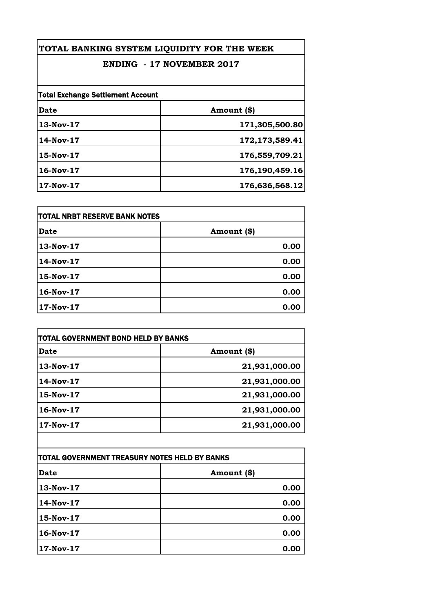# **TOTAL BANKING SYSTEM LIQUIDITY FOR THE WEEK**

### **ENDING - 17 NOVEMBER 2017**

| <b>Total Exchange Settlement Account</b> |                |
|------------------------------------------|----------------|
| Date                                     | Amount (\$)    |
| 13-Nov-17                                | 171,305,500.80 |
| 14-Nov-17                                | 172,173,589.41 |
| 15-Nov-17                                | 176,559,709.21 |
| 16-Nov-17                                | 176,190,459.16 |
| 17-Nov-17                                | 176,636,568.12 |

| <b>TOTAL NRBT RESERVE BANK NOTES</b> |             |
|--------------------------------------|-------------|
| Date                                 | Amount (\$) |
| 13-Nov-17                            | 0.00        |
| 14-Nov-17                            | 0.00        |
| 15-Nov-17                            | 0.00        |
| 16-Nov-17                            | 0.00        |
| 17-Nov-17                            | 0.00        |

| <b>TOTAL GOVERNMENT BOND HELD BY BANKS</b> |  |
|--------------------------------------------|--|
| Amount (\$)                                |  |
| 21,931,000.00                              |  |
| 21,931,000.00                              |  |
| 21,931,000.00                              |  |
| 21,931,000.00                              |  |
| 21,931,000.00                              |  |
|                                            |  |

| TOTAL GOVERNMENT TREASURY NOTES HELD BY BANKS |             |
|-----------------------------------------------|-------------|
| Date                                          | Amount (\$) |
| 13-Nov-17                                     | 0.00        |
| 14-Nov-17                                     | 0.00        |
| 15-Nov-17                                     | 0.00        |
| $16-Nov-17$                                   | 0.00        |
| 17-Nov-17                                     | 0.00        |